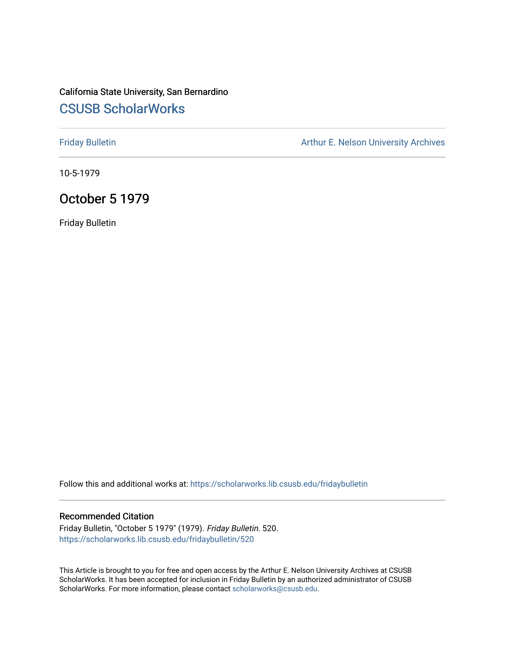# California State University, San Bernardino [CSUSB ScholarWorks](https://scholarworks.lib.csusb.edu/)

[Friday Bulletin](https://scholarworks.lib.csusb.edu/fridaybulletin) **Arthur E. Nelson University Archives** Arthur E. Nelson University Archives

10-5-1979

## October 5 1979

Friday Bulletin

Follow this and additional works at: [https://scholarworks.lib.csusb.edu/fridaybulletin](https://scholarworks.lib.csusb.edu/fridaybulletin?utm_source=scholarworks.lib.csusb.edu%2Ffridaybulletin%2F520&utm_medium=PDF&utm_campaign=PDFCoverPages)

## Recommended Citation

Friday Bulletin, "October 5 1979" (1979). Friday Bulletin. 520. [https://scholarworks.lib.csusb.edu/fridaybulletin/520](https://scholarworks.lib.csusb.edu/fridaybulletin/520?utm_source=scholarworks.lib.csusb.edu%2Ffridaybulletin%2F520&utm_medium=PDF&utm_campaign=PDFCoverPages)

This Article is brought to you for free and open access by the Arthur E. Nelson University Archives at CSUSB ScholarWorks. It has been accepted for inclusion in Friday Bulletin by an authorized administrator of CSUSB ScholarWorks. For more information, please contact [scholarworks@csusb.edu.](mailto:scholarworks@csusb.edu)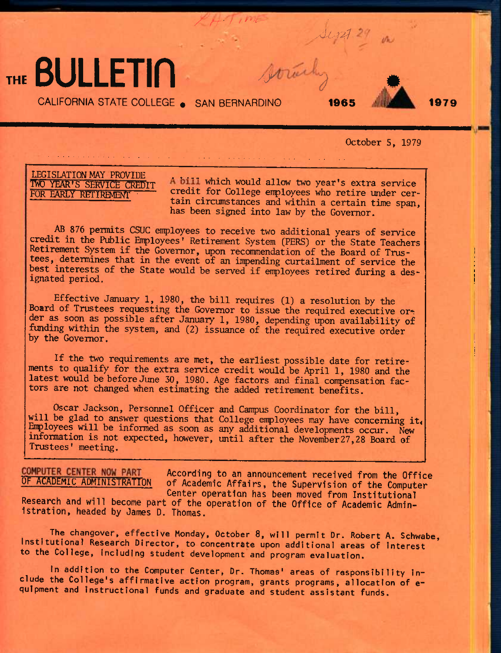# THE **BULLETIN** Abrahy

CALIFORNIA STATE COLLEGE • SAN BERNARDINO **1965 1979** 

X *H*+ *f i ''*e-

 $Atri$ 



## October 5, 1979

LEGISLATION MAY PROVIDE<br>IWO YEAR'S SERVICE CREDIT

TWO YEAR'S SERVICE CREDIT A bill which would allow two year's extra service<br>FOR EARLY RETIREMENT credit for College employees who retire under cercredit for College employees who retire under certain circumstances and within a certain time span, has been signed into law by the Governor.

AB 876 permits CSUC enployees to receive two additional years of service credit in the Public Employees' Retirement System (PERS) or the State Teachers Retirement System if the Governor, upon recommendation of the Board of Trustees, determines that in the event of an impending curtailment of service the best interests of the State would be served if enployees retired during a designated period.

 $\label{eq:R1} \mathcal{L}(\mathcal{F}) = \mathcal{L}(\mathcal{F}) = \mathcal{L}(\mathcal{F}) = \mathcal{L}(\mathcal{F}) = \mathcal{L}(\mathcal{F}) = \mathcal{L}(\mathcal{F}) = \mathcal{L}(\mathcal{F}) = \mathcal{L}(\mathcal{F}) = \mathcal{L}(\mathcal{F}) = \mathcal{L}(\mathcal{F}) = \mathcal{L}(\mathcal{F}) = \mathcal{L}(\mathcal{F}) = \mathcal{L}(\mathcal{F}) = \mathcal{L}(\mathcal{F}) = \mathcal{L}(\mathcal{F}) = \mathcal{L}(\mathcal{F}) = \mathcal{$ 

Effective January 1,1980, the bill requires (1) a resolution by the Board of Trustees requesting the Governor to issue the required executive order as soon as possible after January 1, 1980, depending upon availability of funding within the system, and (2) issuance of the required executive order by the Governor.

If the two requirements are met, the earliest possible date for retirements to qualify for the extra service credit would be April 1, 1980 and the latest would be before June 30, 1980. Age factors and final compensation factors are not changed when estimating the added retirement benefits.

Oscar Jackson, Personnel Officer and Campus Coordinator for the bill, will be glad to answer questions that College employees may have concerning it. Employees will be informed as soon as any additional developments occur. New information is not expected, however, until after the November27,28 Board of Trustees' meeting.

**COMPUTER CENTER NOW PART According to an announcement received from the Office OF ACADEMIC ADMINISTRATTON of Academic Affairs, the Supervision of the Computer \_ u . Center operation has been moved from Institutional Research and will become part of the operation of the Office of Academic Administration, headed by James D. Thomas.** 

The changover, effective Monday, October 8, will permit Dr. Robert A. Schwabe, Institutional Research Director, to concentrate upon additional areas of interest to the College, including student development and program evaluation.

In addition to the Computer Center, Dr. Thomas' areas of responsibility include the College's affirmative action program, grants programs, allocation of equlpment and Instructional funds and graduate and student assistant funds.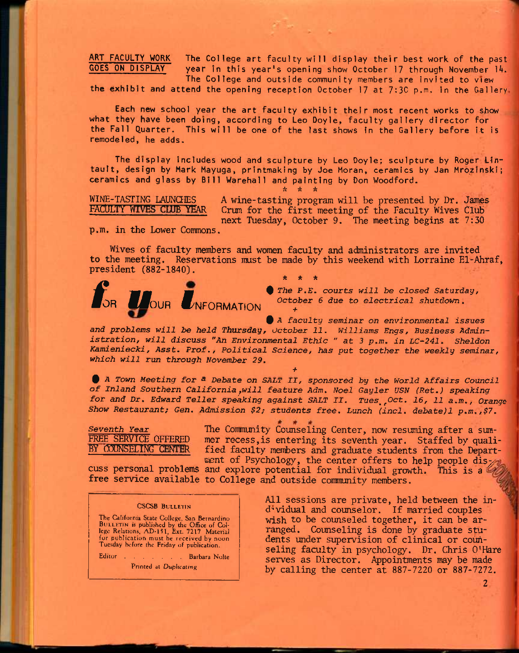ART FACULTY WORK The College art faculty will display their best work of the past<br>GOES ON DISPLAY Thear in this year's opening show October 17 through November 14. year in this year's opening show October 17 through November 14. The College and outside community members are invited to view

the exhibit and attend the opening reception October 17 at 7:30 p.m. in the Gallery.

 $\mathcal{E}^{(1)}$ 

Each new school year the art faculty exhibit their most recent works to show what they have been doing, according to Leo Doyle, faculty gallery director for the Fall Quarter. This will be one of the last shows In the Gallery before It is remodeled, he adds.

The display Includes wood and sculpture by Leo Doyle; sculpture by Roger Lintault, design by Mark Mayuga, printmaking by Joe Moran, ceramics by Jan Mrozinski; ceramics and glass by Bill Warehal! and painting by Don Woodford.

A \* \*

## WINE-TASTING LAUNCHES FACULTY WIVES CLUB YEAR

A wine-tasting program will be presented by Dr. James Crum for the first meeting of the Faculty Wives Club next Tuesday, October 9. The meeting begins at 7:30

p.m. in the Lower Commons.

Wives of faculty members and women faculty and administrators are invited to the meeting. Reservations must be made by this weekend with Lorraine El-Ahraf, president (882-1840).

*\* ft it* 



*0 The P.B. courts will be closed Saturday, /***NFORMATION**  $October 6 due to electrical shutdown.$ 

*0 A faculty seminar on environmental issues and problems will be held Thursday, October 11. Williams Engs, Business Administration, will discuss "An Environmental Ethic " at 3 p.m. in LC-241. Sheldon Kamieniecki, Asst. Prof., Political Science, has put together the weekly seminar, which will* run *through November 29.* 

*+* 

*0 A Town Meeting for ^ Debate on SALT II, sponsored by the World Affairs Council of Inland Southern California^will feature Adm. Noel Gayler USN (Ret.) speaking for and Dr. Edward Teller speaking against SALT II. Tues^^Oct. 16, 11 a.m.. Orange Show Restaurant; Gen. Admission \$2; students* free. *Lunch (incl. debate)l p.m.,\$7.* 

*Seventh Year*  FREE SERVICE OFFERED BY COUNSELING CENTER

The Community Counseling Center, now resuming after a summer recess,is entering its seventh year. Staffed by qualified faculty members and graduate students from the Departwent of Psychology, the center offers to help people dis $_7$ 

cuss personal problems and explore potential for individual growth. This is a free service available to College and outside community members.

## CSCSB BULLETIN

The California State College, San Bernardino BULLETIN is published by the Office of Col-lege Relations, AD-151, Ext. 7217. Material for publication must be received by noon Tuesday before the Friday of publication.

Editor . . . . . . Barbara Nolte Printed at Duplicating

All sessions are private, held between the ind-'vidual and counselor. If married couples wish to be counseled together, it can be arranged. Counseling is done by graduate students under supervision of clinical or counseling faculty in psychology. Dr. Chris O'Hare serves as Director. Appointments may be made by calling the center at 887-7220 or 887-7272.

**2**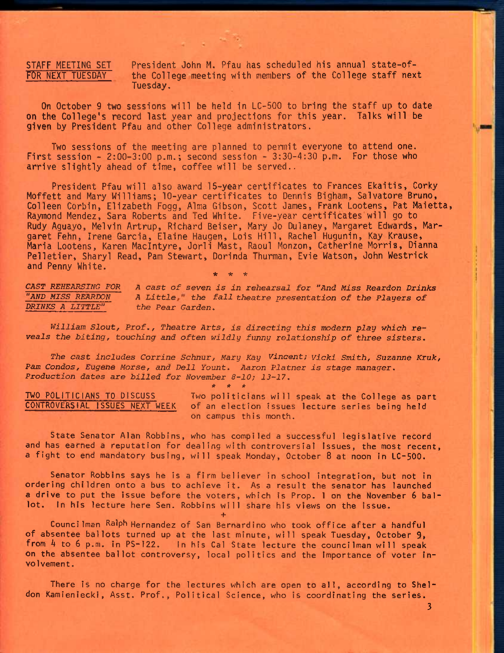**STAFF MEETING SET President John M. Pfau has scheduled his annual state-of-**FOR NEXT TUESDAY the College meeting with members of the College staff next **Tuesday.** 

**On October 9 two sessions will be held in LC-500 to bring the staff up to date on the College's record last year and projections for this year. Talks will be given by President Pfau and other College administrators.** 

 $\mathcal{L} \times \mathcal{L}$ 

**Two sessions of the meeting are planned to permit everyone to attend one. First session - 2:00-3:00 p.m.; second session - 3:30-4:30 p.m. For those who arrive slightly ahead of time, coffee will be served..** 

**President Pfau will also award 15-year certificates to Frances Ekaitis, Corky Moffett and Mary Williams; 10-year certificates to Dennis Bigham, Salvatore Bruno, Colleen Corbin, Elizabeth Fogg, Alma Gibson, Scott James, Frank Lootens, Pat Maietta, Raymond Mendez, Sara Roberts and Ted White. Five-year certificates will go to Rudy Aguayo, Melvin Artrup, Richard Beiser, Mary Jo Dulaney, Margaret Edwards, Margaret Fehn, Irene Garcia, Elaine Haugen, Lois Hill, Rachel Hugunin, Kay Krause, Maria Lootens, Karen Maclntyre, Jorli Mast, Raoul Monzon, Catherine Morris, Dianna Pelletier, Sharyl Read, Pam Stewart, Dorinda Thurman, Evie Watson, John Westrick and Penny White. \* \* \*** 

*CAST REHEARSING FOR A cast of seven is in rehearsal for "And Miss Reardon Drinks "AND MISS REARDON* A Little," the fall theatre presentation of the Players of  $\overline{DRINKS}$  A LITTLE" the Pear Garden. the Pear Garden.

*William Slout, Prof,, Theatre Arts, is directing this modern play which reveals the biting, touching and often wildly funny relationship of three sisters.* 

*The cast includes Corrine Schnur, Mary Kay Vincent; vicki Smith, Suzanne Kruk, Pam Condos,* Eugene *Morse, and Dell Yount, Aaron Platner is stage manager. Production dates are billed for November 8-10; 13-17.* 

*\* \* \** 

TWO POLITICIANS TO DISCUSS Two politicians will speak at the College as part<br>CONTROVERSIAL ISSUES NEXT WEEK of an election issues lecture series being held of an election issues lecture series being held on campus this month.

State Senator Alan Robbins, who has compiled a successful legislative record and has earned a reputation for dealing with controversial Issues, the most recent, a fight to end mandatory busing, will speak Monday, October B at noon in LC-500.

Senator Robbins says he is a firm believer in school integration, but not in ordering children onto a bus to achieve it. As a result the senator has launched a drive to put the issue before the voters, which is Prop. 1 on the November 6 ballot. In his lecture here Sen. Robbins will share his views on the issue. **+** 

Councilman Ralph Hernandez of San Bernardino who took office after a handful of absentee ballots turned up at the last minute, will speak Tuesday, October 9, from 4 to 6 p.m. in PS-122. In his Cal State lecture the councilman will speak on the absentee ballot controversy, local politics and the Importance of voter involvement.

There is no charge for the lectures which are open to all, according to Sheldon Kamieniecki, Asst. Prof., Political Science, who is coordinating the series.

**3**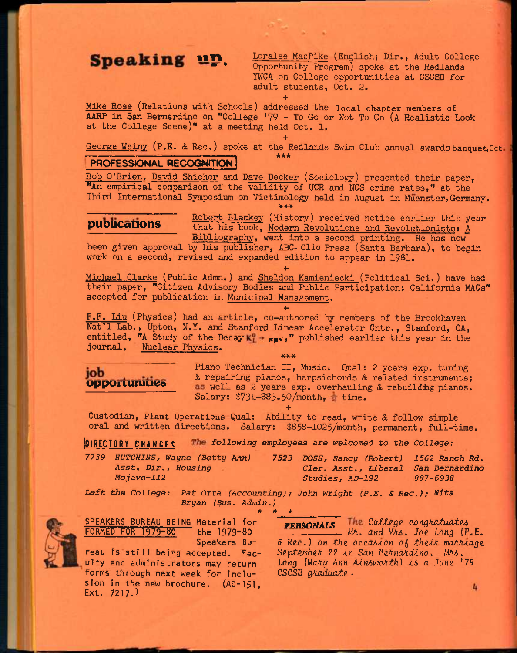Speaking up. Loralee MacPike (English; Dir., Adult College Opportunity Program) spoke at the Redlands YWCA on College opportunities at CSCSB for adult students, Oct. 2.

Mike Rose (Relations with Schools) addressed the local chapter members of AARP in San Bernardino on "College '79 - To Go or Not To Go (A Realistic Look at the College Scene)" at a meeting held Oct. 1.

**+** 

**+**  George Weiny (P.E. & Rec.) spoke at the Redlands Swim Club annual awardsbanquet:,Oct *\*is\** 

## **PROFESSIONAL RECOGNITION**

Bob O'Brien. David Shichor and Dave Decker (Sociology) presented their paper, "An empirical comparison of the validity of UCR and NCS crime rates," at the Third International Symposium on Victimology held in August in Muenster, Germany.

Robert Blackey (History) received notice earlier this year **publications** that his book, Modern Revolutions and Revolutionists: A Bibliography, went into a second printing. He has now

been given approval by his publisher, ABC- Clio Press (Santa Barbara), to begin work on a second, revised and expanded edition to appear in 1981,

**+**  Michael Clarke (Public Admn.) and Sheldon Kamieniecki (Political Sci.) have had their paper, "Citizen Advisory Bodies and Public Participation: California MACs" accepted for publication in Municipal Management.

**+** 

F.F. Liu (Physics) had an article, co-authored by members of the Brookhaven Nat'l Lab,, Upton, N.Y. and Stanford Linear Accelerator Cntr., Stanford, CA, entitled, "A Study of the Decay  $K_1^0$  \*  $\pi \mu \nu'$ ," published earlier this year in the journal. Nuclear Physics. \*\*\*

~ Piano Technician II, Music. Qual: *2* years exp. tuning & repairing pianos, harpsichords & related instruments; **opportunities**  $\alpha$  repairing pianos, narportunities a related mistruments, Salary:  $$734-883.50/month,$  time.

**+**  Custodian, Plant Operations-Qual: Ability to read, write & follow simple oral and written directions. Salary: \$858-1025/month, permanent, full-time.

|OIRECTQRY CHHWriF!g *following employees are welcomed to the College:* 

*7739 HUTCHINS, Wayne (Betty Arm) 7523 DOSS, Nancy (Robert) 1562 Ranch Rd, Asst, Dir., Housing Cler. Asst., Liberal San Bernardino Mojave-112 Studies, AD-192 887-6938* 

*Left* the *College: Pat Orta (Accounting); John Wright (P.E. S Rec.); Nita Bryan (Hus. Admin.) \* \* \** 



SPEAKERS BUREAU BEING Material for **PERSONALS** The College congratuates<br>FORMED FOR 1979-80 the 1979-80 **PERSONALS** Mr. and Mrs. Joe Long (P forms through next week for inclu- CSCSB graduate. sion in the new brochure. (AD-151, Ext. 7217.)

FORMED FOR 1979-80 the 1979-80 *MA. and MA6. JOQ, Long* (P.E. Speakers Bu- *& Rec.*) on the occasion of their marriage reau is still being accepted. Fac- September 22 in San Bernardino. Mrs. reau is still being accepted. Fac- September 22 in San Bernardino. Mrs. ulty and administrators may return *bong (MaA^ Ann Aln6u}0Ath^ ts a June. '79* 

4